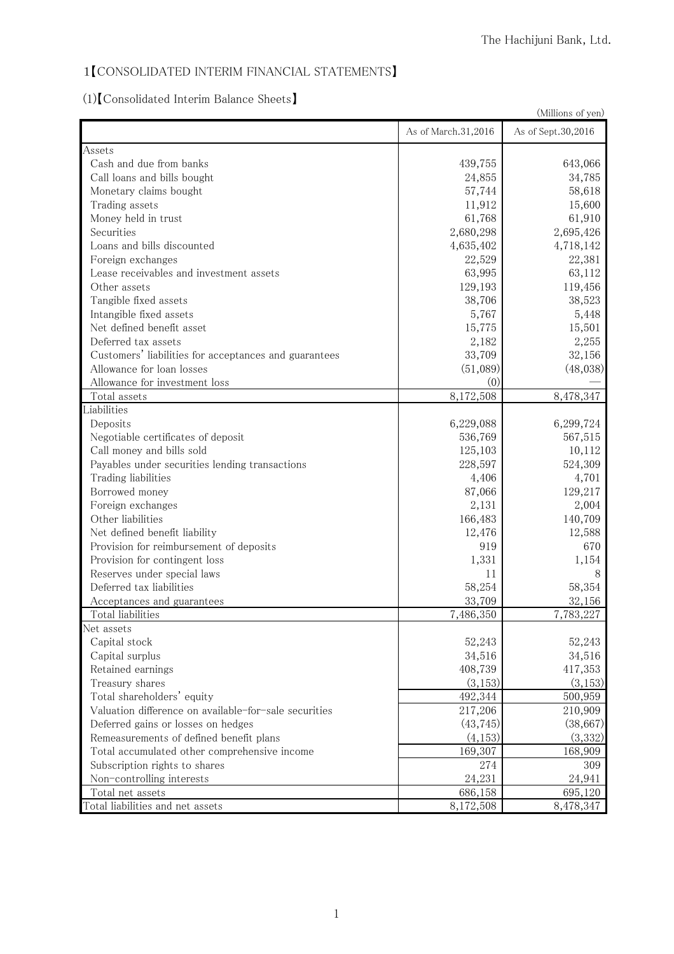# 1【CONSOLIDATED INTERIM FINANCIAL STATEMENTS】

(1)【Consolidated Interim Balance Sheets】

| (Millions of yen)                                     |                     |                    |
|-------------------------------------------------------|---------------------|--------------------|
|                                                       | As of March.31,2016 | As of Sept.30,2016 |
| Assets                                                |                     |                    |
| Cash and due from banks                               | 439,755             | 643,066            |
| Call loans and bills bought                           | 24,855              | 34,785             |
| Monetary claims bought                                | 57,744              | 58,618             |
| Trading assets                                        | 11,912              | 15,600             |
| Money held in trust                                   | 61,768              | 61,910             |
| Securities                                            | 2,680,298           | 2,695,426          |
| Loans and bills discounted                            | 4,635,402           | 4,718,142          |
| Foreign exchanges                                     | 22,529              | 22,381             |
| Lease receivables and investment assets               | 63,995              | 63,112             |
| Other assets                                          | 129,193             | 119,456            |
| Tangible fixed assets                                 | 38,706              | 38,523             |
| Intangible fixed assets                               | 5,767               | 5,448              |
| Net defined benefit asset                             | 15,775              | 15,501             |
| Deferred tax assets                                   | 2,182               | 2,255              |
| Customers' liabilities for acceptances and guarantees | 33,709              | 32,156             |
| Allowance for loan losses                             | (51,089)            | (48,038)           |
| Allowance for investment loss                         | (0)                 |                    |
| Total assets                                          | 8,172,508           | 8,478,347          |
| Liabilities                                           |                     |                    |
| Deposits                                              | 6,229,088           | 6,299,724          |
| Negotiable certificates of deposit                    | 536,769             | 567,515            |
| Call money and bills sold                             | 125,103             | 10,112             |
| Payables under securities lending transactions        | 228,597             | 524,309            |
| Trading liabilities                                   | 4,406               | 4,701              |
| Borrowed money                                        | 87,066              | 129,217            |
| Foreign exchanges                                     | 2,131               | 2,004              |
| Other liabilities                                     | 166,483             | 140,709            |
| Net defined benefit liability                         | 12,476              | 12,588             |
| Provision for reimbursement of deposits               | 919                 | 670                |
| Provision for contingent loss                         | 1,331               | 1,154              |
| Reserves under special laws                           | 11                  | 8                  |
| Deferred tax liabilities                              | 58,254              | 58,354             |
| Acceptances and guarantees                            | 33,709              | 32,156             |
| Total liabilities                                     | 7,486,350           | 7,783,227          |
| Net assets                                            |                     |                    |
| Capital stock                                         | 52,243              | 52,243             |
| Capital surplus                                       | 34,516              | 34,516             |
| Retained earnings                                     | 408,739             | 417,353            |
| Treasury shares                                       | (3, 153)            | (3, 153)           |
| Total shareholders' equity                            | 492,344             | 500,959            |
| Valuation difference on available-for-sale securities | 217,206             | 210,909            |
| Deferred gains or losses on hedges                    | (43, 745)           | (38, 667)          |
| Remeasurements of defined benefit plans               | (4,153)             | (3,332)            |
| Total accumulated other comprehensive income          | 169,307             | 168,909            |
| Subscription rights to shares                         | 274                 | 309                |
| Non-controlling interests                             | 24,231              | 24,941             |
| Total net assets                                      | 686,158             | 695,120            |
| Total liabilities and net assets                      | 8,172,508           | 8,478,347          |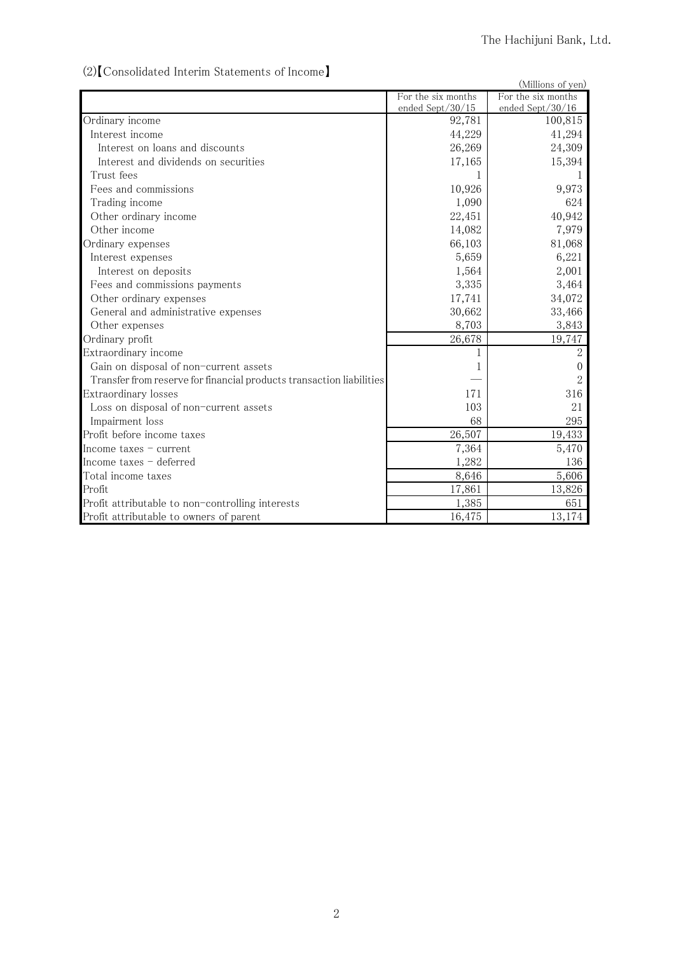# (2)【Consolidated Interim Statements of Income】

| (2) Consondated internit blatements of income                        |                    | (Millions of yen)  |
|----------------------------------------------------------------------|--------------------|--------------------|
|                                                                      | For the six months | For the six months |
|                                                                      | ended Sept/30/15   | ended Sept/30/16   |
| Ordinary income                                                      | 92,781             | 100,815            |
| Interest income                                                      | 44,229             | 41,294             |
| Interest on loans and discounts                                      | 26,269             | 24,309             |
| Interest and dividends on securities                                 | 17,165             | 15,394             |
| Trust fees                                                           |                    |                    |
| Fees and commissions                                                 | 10,926             | 9,973              |
| Trading income                                                       | 1,090              | 624                |
| Other ordinary income                                                | 22,451             | 40,942             |
| Other income                                                         | 14,082             | 7,979              |
| Ordinary expenses                                                    | 66,103             | 81,068             |
| Interest expenses                                                    | 5,659              | 6,221              |
| Interest on deposits                                                 | 1,564              | 2,001              |
| Fees and commissions payments                                        | 3,335              | 3,464              |
| Other ordinary expenses                                              | 17,741             | 34,072             |
| General and administrative expenses                                  | 30,662             | 33,466             |
| Other expenses                                                       | 8,703              | 3,843              |
| Ordinary profit                                                      | 26,678             | 19,747             |
| Extraordinary income                                                 |                    | $\overline{2}$     |
| Gain on disposal of non-current assets                               |                    | $\theta$           |
| Transfer from reserve for financial products transaction liabilities |                    | $\overline{2}$     |
| Extraordinary losses                                                 | 171                | 316                |
| Loss on disposal of non-current assets                               | 103                | 21                 |
| Impairment loss                                                      | 68                 | 295                |
| Profit before income taxes                                           | 26,507             | 19,433             |
| Income taxes $-$ current                                             | 7,364              | 5,470              |
| Income taxes - deferred                                              | 1,282              | 136                |
| Total income taxes                                                   | 8,646              | 5,606              |
| Profit                                                               | 17,861             | 13,826             |
| Profit attributable to non-controlling interests                     | 1,385              | 651                |
| Profit attributable to owners of parent                              | 16,475             | 13,174             |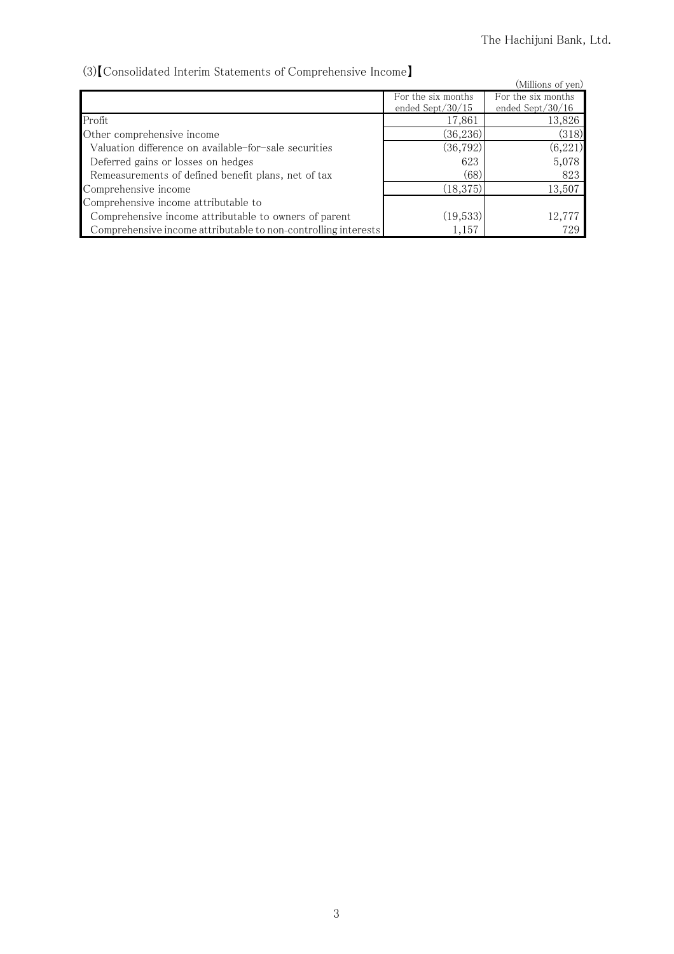# (3)【Consolidated Interim Statements of Comprehensive Income】

| (3) Consolidated Interim Statements of Comprehensive Income    |                     |                     |
|----------------------------------------------------------------|---------------------|---------------------|
|                                                                |                     | (Millions of yen)   |
|                                                                | For the six months  | For the six months  |
|                                                                | ended Sept $/30/15$ | ended Sept $/30/16$ |
| Profit                                                         | 17,861              | 13,826              |
| Other comprehensive income                                     | (36, 236)           | (318)               |
| Valuation difference on available-for-sale securities          | (36, 792)           | (6,221)             |
| Deferred gains or losses on hedges                             | 623                 | 5,078               |
| Remeasurements of defined benefit plans, net of tax            | (68)                | 823                 |
| Comprehensive income                                           | (18, 375)           | 13,507              |
| Comprehensive income attributable to                           |                     |                     |
| Comprehensive income attributable to owners of parent          | (19,533)            | 12,777              |
| Comprehensive income attributable to non-controlling interests | 1,157               | 729                 |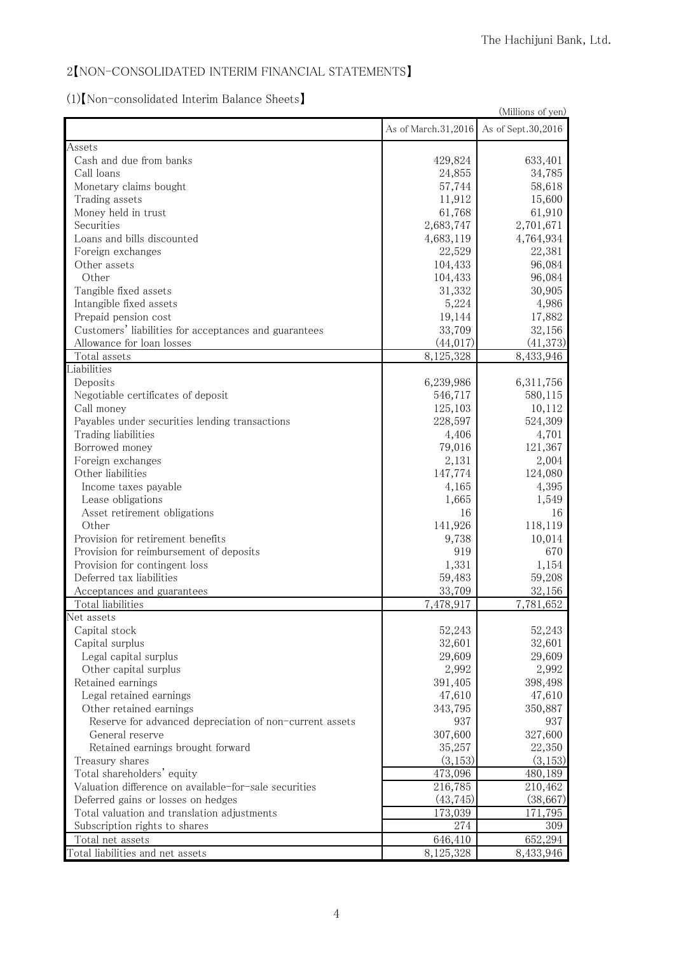### 2【NON-CONSOLIDATED INTERIM FINANCIAL STATEMENTS】

### (1)【Non-consolidated Interim Balance Sheets】

| (Millions of yen)                                       |                     |                    |
|---------------------------------------------------------|---------------------|--------------------|
|                                                         | As of March.31,2016 | As of Sept.30,2016 |
| Assets                                                  |                     |                    |
| Cash and due from banks                                 | 429,824             | 633,401            |
| Call loans                                              | 24,855              | 34,785             |
| Monetary claims bought                                  | 57,744              | 58,618             |
| Trading assets                                          | 11,912              | 15,600             |
| Money held in trust                                     | 61,768              | 61,910             |
| Securities                                              | 2,683,747           | 2,701,671          |
| Loans and bills discounted                              | 4,683,119           | 4,764,934          |
| Foreign exchanges                                       | 22,529              | 22,381             |
| Other assets                                            | 104,433             | 96,084             |
| Other                                                   | 104,433             | 96,084             |
| Tangible fixed assets                                   | 31,332              | 30,905             |
| Intangible fixed assets                                 | 5,224               | 4,986              |
| Prepaid pension cost                                    | 19,144              | 17,882             |
| Customers' liabilities for acceptances and guarantees   | 33,709              | 32,156             |
| Allowance for loan losses                               | (44, 017)           | (41, 373)          |
| Total assets                                            | 8,125,328           | 8,433,946          |
| Liabilities                                             |                     |                    |
| Deposits                                                | 6,239,986           | 6,311,756          |
| Negotiable certificates of deposit                      | 546,717             | 580,115            |
| Call money                                              | 125,103             | 10,112             |
| Payables under securities lending transactions          | 228,597             | 524,309            |
| Trading liabilities                                     | 4,406               | 4,701              |
| Borrowed money                                          | 79,016              | 121,367            |
| Foreign exchanges                                       | 2,131               | 2,004              |
| Other liabilities                                       | 147,774             | 124,080            |
| Income taxes payable                                    | 4,165               | 4,395              |
| Lease obligations                                       | 1,665               | 1,549              |
| Asset retirement obligations                            | 16                  | 16                 |
| Other                                                   | 141,926             | 118,119            |
| Provision for retirement benefits                       | 9,738               | 10,014             |
| Provision for reimbursement of deposits                 | 919                 | 670                |
| Provision for contingent loss                           | 1,331               | 1,154              |
| Deferred tax liabilities                                | 59,483              | 59,208             |
| Acceptances and guarantees                              | 33,709              | 32,156             |
| Total liabilities                                       | 7,478,917           | 7,781,652          |
| Net assets                                              |                     |                    |
| Capital stock                                           | 52,243              | 52,243             |
| Capital surplus                                         | 32,601              | 32,601             |
| Legal capital surplus                                   | 29,609              | 29,609             |
| Other capital surplus                                   | 2,992               | 2,992              |
| Retained earnings                                       | 391,405             | 398,498            |
| Legal retained earnings                                 | 47,610              | 47,610             |
| Other retained earnings                                 | 343,795             | 350,887            |
| Reserve for advanced depreciation of non-current assets | 937                 | 937                |
| General reserve                                         | 307,600             | 327,600            |
| Retained earnings brought forward                       | 35,257              | 22,350             |
| Treasury shares                                         | (3, 153)            | (3, 153)           |
| Total shareholders' equity                              | 473,096             | 480,189            |
| Valuation difference on available-for-sale securities   | 216,785             | 210,462            |
| Deferred gains or losses on hedges                      | (43, 745)           | (38,667)           |
| Total valuation and translation adjustments             | 173,039             | 171,795            |
| Subscription rights to shares                           | 274                 | 309                |
| Total net assets                                        | 646,410             | 652,294            |
| Total liabilities and net assets                        | 8,125,328           | 8,433,946          |
|                                                         |                     |                    |